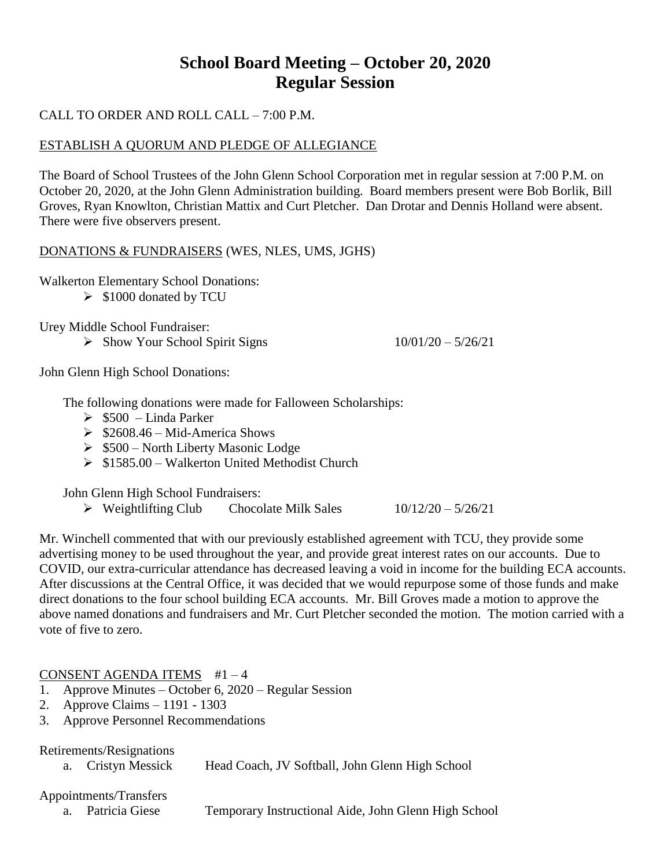# **School Board Meeting – October 20, 2020 Regular Session**

#### CALL TO ORDER AND ROLL CALL – 7:00 P.M.

#### ESTABLISH A QUORUM AND PLEDGE OF ALLEGIANCE

The Board of School Trustees of the John Glenn School Corporation met in regular session at 7:00 P.M. on October 20, 2020, at the John Glenn Administration building. Board members present were Bob Borlik, Bill Groves, Ryan Knowlton, Christian Mattix and Curt Pletcher. Dan Drotar and Dennis Holland were absent. There were five observers present.

#### DONATIONS & FUNDRAISERS (WES, NLES, UMS, JGHS)

Walkerton Elementary School Donations:

 $\triangleright$  \$1000 donated by TCU

Urey Middle School Fundraiser:

 $\triangleright$  Show Your School Spirit Signs 10/01/20 – 5/26/21

John Glenn High School Donations:

The following donations were made for Falloween Scholarships:

- $\geq$  \$500 Linda Parker
- $\geq$  \$2608.46 Mid-America Shows
- $\geq$  \$500 North Liberty Masonic Lodge
- $\geq$  \$1585.00 Walkerton United Methodist Church

John Glenn High School Fundraisers:

 $\triangleright$  Weightlifting Club Chocolate Milk Sales 10/12/20 – 5/26/21

Mr. Winchell commented that with our previously established agreement with TCU, they provide some advertising money to be used throughout the year, and provide great interest rates on our accounts. Due to COVID, our extra-curricular attendance has decreased leaving a void in income for the building ECA accounts. After discussions at the Central Office, it was decided that we would repurpose some of those funds and make direct donations to the four school building ECA accounts. Mr. Bill Groves made a motion to approve the above named donations and fundraisers and Mr. Curt Pletcher seconded the motion. The motion carried with a vote of five to zero.

#### CONSENT AGENDA ITEMS #1 – 4

- 1. Approve Minutes October 6, 2020 Regular Session
- 2. Approve Claims 1191 1303
- 3. Approve Personnel Recommendations

Retirements/Resignations

a. Cristyn Messick Head Coach, JV Softball, John Glenn High School

#### Appointments/Transfers

- 
- a. Patricia Giese Temporary Instructional Aide, John Glenn High School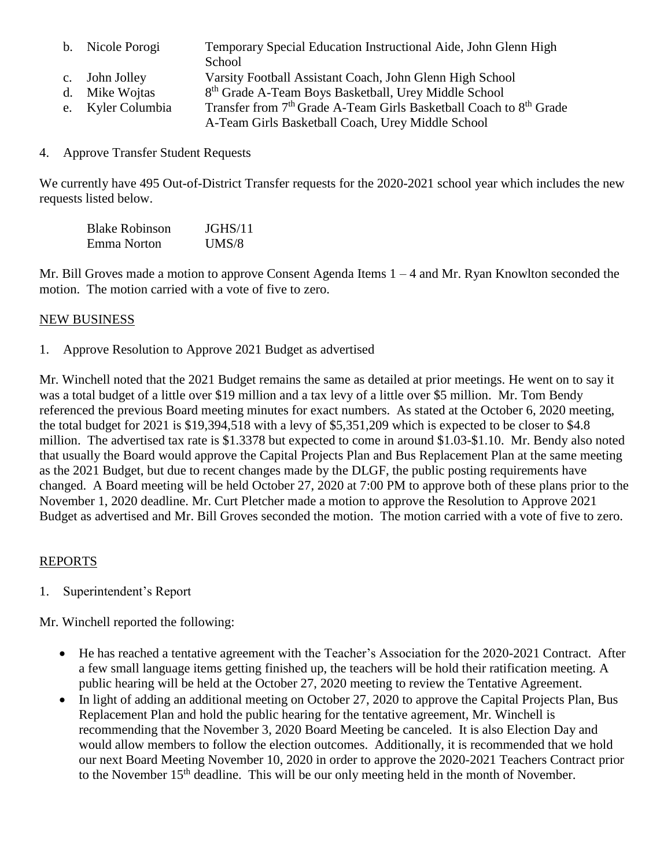- b. Nicole Porogi Temporary Special Education Instructional Aide, John Glenn High
	- School
- c. John Jolley Varsity Football Assistant Coach, John Glenn High School
- d. Mike Wojtas 8<sup>th</sup> Grade A-Team Boys Basketball, Urey Middle School
- e. Kyler Columbia Transfer from 7<sup>th</sup> Grade A-Team Girls Basketball Coach to 8<sup>th</sup> Grade A-Team Girls Basketball Coach, Urey Middle School
- 4. Approve Transfer Student Requests

We currently have 495 Out-of-District Transfer requests for the 2020-2021 school year which includes the new requests listed below.

| <b>Blake Robinson</b> | JGHS/11 |
|-----------------------|---------|
| Emma Norton           | UMS/8   |

Mr. Bill Groves made a motion to approve Consent Agenda Items 1 – 4 and Mr. Ryan Knowlton seconded the motion. The motion carried with a vote of five to zero.

# NEW BUSINESS

1. Approve Resolution to Approve 2021 Budget as advertised

Mr. Winchell noted that the 2021 Budget remains the same as detailed at prior meetings. He went on to say it was a total budget of a little over \$19 million and a tax levy of a little over \$5 million. Mr. Tom Bendy referenced the previous Board meeting minutes for exact numbers. As stated at the October 6, 2020 meeting, the total budget for 2021 is \$19,394,518 with a levy of \$5,351,209 which is expected to be closer to \$4.8 million. The advertised tax rate is \$1.3378 but expected to come in around \$1.03-\$1.10. Mr. Bendy also noted that usually the Board would approve the Capital Projects Plan and Bus Replacement Plan at the same meeting as the 2021 Budget, but due to recent changes made by the DLGF, the public posting requirements have changed. A Board meeting will be held October 27, 2020 at 7:00 PM to approve both of these plans prior to the November 1, 2020 deadline. Mr. Curt Pletcher made a motion to approve the Resolution to Approve 2021 Budget as advertised and Mr. Bill Groves seconded the motion. The motion carried with a vote of five to zero.

# REPORTS

1. Superintendent's Report

Mr. Winchell reported the following:

- He has reached a tentative agreement with the Teacher's Association for the 2020-2021 Contract. After a few small language items getting finished up, the teachers will be hold their ratification meeting. A public hearing will be held at the October 27, 2020 meeting to review the Tentative Agreement.
- In light of adding an additional meeting on October 27, 2020 to approve the Capital Projects Plan, Bus Replacement Plan and hold the public hearing for the tentative agreement, Mr. Winchell is recommending that the November 3, 2020 Board Meeting be canceled. It is also Election Day and would allow members to follow the election outcomes. Additionally, it is recommended that we hold our next Board Meeting November 10, 2020 in order to approve the 2020-2021 Teachers Contract prior to the November 15<sup>th</sup> deadline. This will be our only meeting held in the month of November.